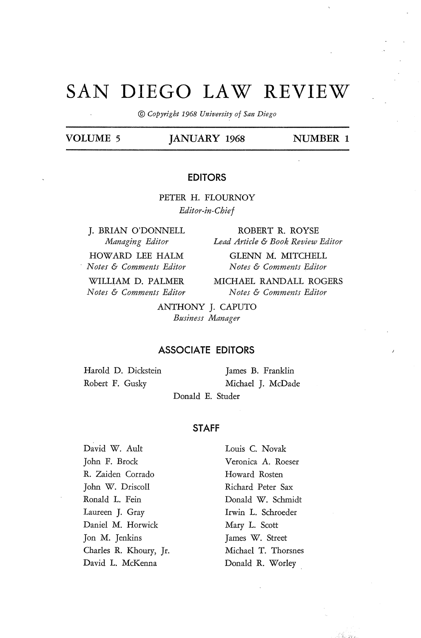# **SAN DIEGO LAW REVIEW**

© *Copyright 1968 University of San Diego* 

# VOLUME 5 **JANUARY 1968** NUMBER 1

### **EDITORS**

PETER H. FLOURNOY *Editor-in-Chief* 

**J.** BRIAN O'DONNELL *Managing Editor* 

HOWARD LEE HALM *Notes* & *Comments Editor* 

WILLIAM D. PALMER *Notes* & *Comments Editor* 

ROBERT R. ROYSE *Lead Article* & *Book Review Editor* 

GLENN M. MITCHELL *Notes* & *Comments Editor* 

MICHAEL RANDALL ROGERS *Notes* & *Comments Editor* 

ANTHONY J. CAPUTO *Business Manager* 

#### **ASSOCIATE EDITORS**

Harold D. Dickstein Robert F. Gusky

James B. Franklin Michael J. McDade

Donald E. Studer

## **STAFF**

David W. Ault John F. Brock R. Zaiden Corrado John W. Driscoll Ronald L. Fein Laureen J. Gray Daniel M. Horwick Jon M. Jenkins Charles R. Khoury, Jr. David L. McKenna

Louis C. Novak Veronica A. Roeser Howard Rosten Richard Peter Sax Donald W. Schmidt Irwin L. Schroeder Mary L. Scott James W. Street Michael T. Thorsnes Donald R. Worley

filosofia<br>Filosofia